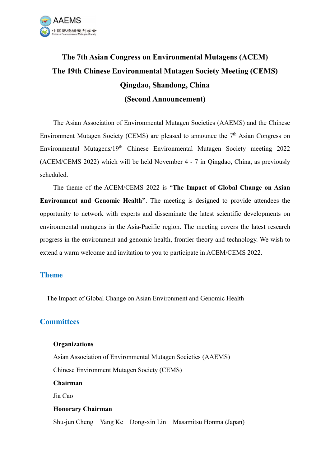

# The 7th Asian Congress on Environmental Mutagens (ACEM) The 19th Chinese Environmental Mutagen Society Meeting (CEMS) Qingdao, Shandong, China (Second Announcement)

The Asian Association of Environmental Mutagen Societies (AAEMS) and the Chinese Environment Mutagen Society (CEMS) are pleased to announce the  $7<sup>th</sup>$  Asian Congress on Environmental Mutagens/19th Chinese Environmental Mutagen Society meeting 2022 (ACEM/CEMS 2022) which will be held November 4 - 7 in Qingdao, China, as previously scheduled.

The theme of the ACEM/CEMS 2022 is "The Impact of Global Change on Asian Environment and Genomic Health". The meeting is designed to provide attendees the opportunity to network with experts and disseminate the latest scientific developments on environmental mutagens in the Asia-Pacific region. The meeting covers the latest research progress in the environment and genomic health, frontier theory and technology. We wish to extend a warm welcome and invitation to you to participate in ACEM/CEMS 2022.

#### Theme

The Impact of Global Change on Asian Environment and Genomic Health

## **Committees**

#### **Organizations**

Asian Association of Environmental Mutagen Societies (AAEMS) Chinese Environment Mutagen Society (CEMS)

Chairman

Jia Cao

#### Honorary Chairman

Shu-jun Cheng Yang Ke Dong-xin Lin Masamitsu Honma (Japan)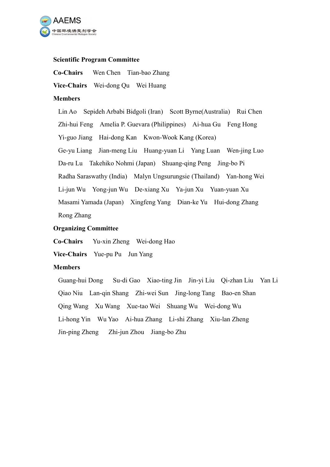

#### Scientific Program Committee

Co-Chairs Wen Chen Tian-bao Zhang

Vice-Chairs Wei-dong Qu Wei Huang

#### **Members**

Lin Ao Sepideh Arbabi Bidgoli (Iran) Scott Byrne(Australia) Rui Chen Zhi-hui Feng Amelia P. Guevara (Philippines) Ai-hua Gu Feng Hong Yi-guo Jiang Hai-dong Kan Kwon-Wook Kang (Korea) Ge-yu Liang Jian-meng Liu Huang-yuan Li Yang Luan Wen-jing Luo Da-ru Lu Takehiko Nohmi (Japan) Shuang-qing Peng Jing-bo Pi Radha Saraswathy (India) Malyn Ungsurungsie (Thailand) Yan-hong Wei Li-jun Wu Yong-jun Wu De-xiang Xu Ya-jun Xu Yuan-yuan Xu Masami Yamada (Japan) Xingfeng Yang Dian-ke Yu Hui-dong Zhang Rong Zhang

## Organizing Committee

Co-Chairs Yu-xin Zheng Wei-dong Hao

Vice-Chairs Yue-pu Pu Jun Yang

#### Members

Guang-hui Dong Su-di Gao Xiao-ting Jin Jin-yi Liu Qi-zhan Liu Yan Li Qiao Niu Lan-qin Shang Zhi-wei Sun Jing-long Tang Bao-en Shan Qing Wang Xu Wang Xue-tao Wei Shuang Wu Wei-dong Wu Li-hong Yin Wu Yao Ai-hua Zhang Li-shi Zhang Xiu-lan Zheng Jin-ping Zheng Zhi-jun Zhou Jiang-bo Zhu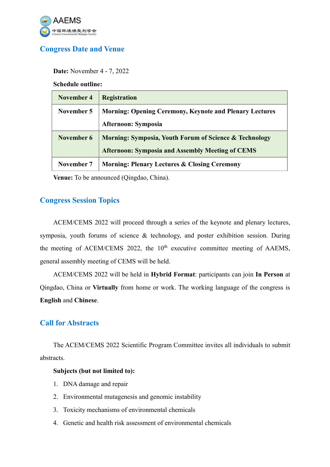

# Congress Date and Venue

Date: November 4 - 7, 2022

Schedule outline:

| November 4 | <b>Registration</b>                                            |
|------------|----------------------------------------------------------------|
| November 5 | <b>Morning: Opening Ceremony, Keynote and Plenary Lectures</b> |
|            | <b>Afternoon: Symposia</b>                                     |
| November 6 | Morning: Symposia, Youth Forum of Science & Technology         |
|            | <b>Afternoon: Symposia and Assembly Meeting of CEMS</b>        |
| November 7 | <b>Morning: Plenary Lectures &amp; Closing Ceremony</b>        |

Venue: To be announced (Qingdao, China).

## Congress Session Topics

ACEM/CEMS 2022 will proceed through a series of the keynote and plenary lectures, symposia, youth forums of science & technology, and poster exhibition session. During the meeting of ACEM/CEMS 2022, the  $10<sup>th</sup>$  executive committee meeting of AAEMS, general assembly meeting of CEMS will be held.

ACEM/CEMS 2022 will be held in Hybrid Format: participants can join In Person at Qingdao, China or Virtually from home or work. The working language of the congress is English and Chinese.

## Call for Abstracts

The ACEM/CEMS 2022 Scientific Program Committee invites all individuals to submit abstracts.

#### Subjects (but not limited to):

- 1. DNA damage and repair
- 2. Environmental mutagenesis and genomic instability
- 3. Toxicity mechanisms of environmental chemicals
- 4. Genetic and health risk assessment of environmental chemicals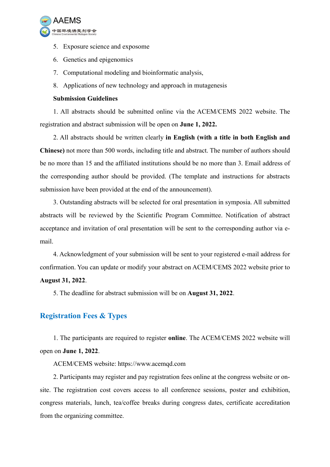

- 5. Exposure science and exposome
- 6. Genetics and epigenomics
- 7. Computational modeling and bioinformatic analysis,
- 8. Applications of new technology and approach in mutagenesis

### Submission Guidelines

1. All abstracts should be submitted online via the ACEM/CEMS 2022 website. The registration and abstract submission will be open on June 1, 2022.

2. All abstracts should be written clearly in English (with a title in both English and Chinese) not more than 500 words, including title and abstract. The number of authors should be no more than 15 and the affiliated institutions should be no more than 3. Email address of the corresponding author should be provided. (The template and instructions for abstracts submission have been provided at the end of the announcement).

3. Outstanding abstracts will be selected for oral presentation in symposia. All submitted abstracts will be reviewed by the Scientific Program Committee. Notification of abstract acceptance and invitation of oral presentation will be sent to the corresponding author via email.

4. Acknowledgment of your submission will be sent to your registered e-mail address for confirmation. You can update or modify your abstract on ACEM/CEMS 2022 website prior to

## August 31, 2022.

5. The deadline for abstract submission will be on August 31, 2022.

# Registration Fees & Types

1. The participants are required to register online. The ACEM/CEMS 2022 website will open on June 1, 2022.

ACEM/CEMS website: https://www.acemqd.com

2. Participants may register and pay registration fees online at the congress website or onsite. The registration cost covers access to all conference sessions, poster and exhibition, congress materials, lunch, tea/coffee breaks during congress dates, certificate accreditation from the organizing committee.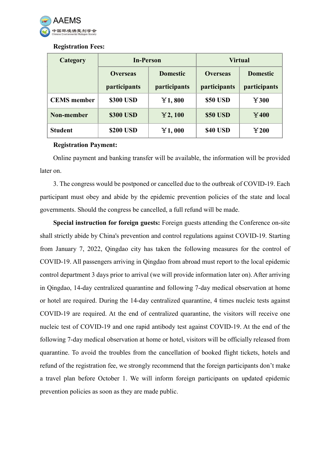

#### Registration Fees:

| Category           | <b>In-Person</b>                |                                 | <b>Virtual</b>                  |                                 |
|--------------------|---------------------------------|---------------------------------|---------------------------------|---------------------------------|
|                    | <b>Overseas</b><br>participants | <b>Domestic</b><br>participants | <b>Overseas</b><br>participants | <b>Domestic</b><br>participants |
| <b>CEMS</b> member | \$300 USD                       | Y1,800                          | <b>\$50 USD</b>                 | Y300                            |
| Non-member         | \$300 USD                       | Y2,100                          | <b>\$50 USD</b>                 | $\bf{Y400}$                     |
| <b>Student</b>     | \$200 USD                       | Y1,000                          | <b>\$40 USD</b>                 | $\bf{Y200}$                     |

#### Registration Payment:

Online payment and banking transfer will be available, the information will be provided later on.

3. The congress would be postponed or cancelled due to the outbreak of COVID-19. Each participant must obey and abide by the epidemic prevention policies of the state and local governments. Should the congress be cancelled, a full refund will be made.

Special instruction for foreign guests: Foreign guests attending the Conference on-site shall strictly abide by China's prevention and control regulations against COVID-19. Starting from January 7, 2022, Qingdao city has taken the following measures for the control of COVID-19. All passengers arriving in Qingdao from abroad must report to the local epidemic control department 3 days prior to arrival (we will provide information later on). After arriving in Qingdao, 14-day centralized quarantine and following 7-day medical observation at home or hotel are required. During the 14-day centralized quarantine, 4 times nucleic tests against COVID-19 are required. At the end of centralized quarantine, the visitors will receive one nucleic test of COVID-19 and one rapid antibody test against COVID-19. At the end of the following 7-day medical observation at home or hotel, visitors will be officially released from quarantine. To avoid the troubles from the cancellation of booked flight tickets, hotels and refund of the registration fee, we strongly recommend that the foreign participants don't make a travel plan before October 1. We will inform foreign participants on updated epidemic prevention policies as soon as they are made public.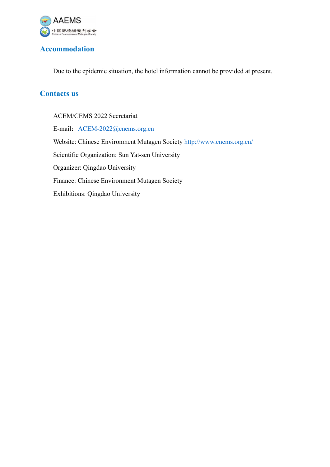

# Accommodation

Due to the epidemic situation, the hotel information cannot be provided at present.

# Contacts us

ACEM/CEMS 2022 Secretariat E-mail: ACEM-2022@cnems.org.cn Website: Chinese Environment Mutagen Society http://www.cnems.org.cn/ Scientific Organization: Sun Yat-sen University Organizer: Qingdao University Finance: Chinese Environment Mutagen Society Exhibitions: Qingdao University